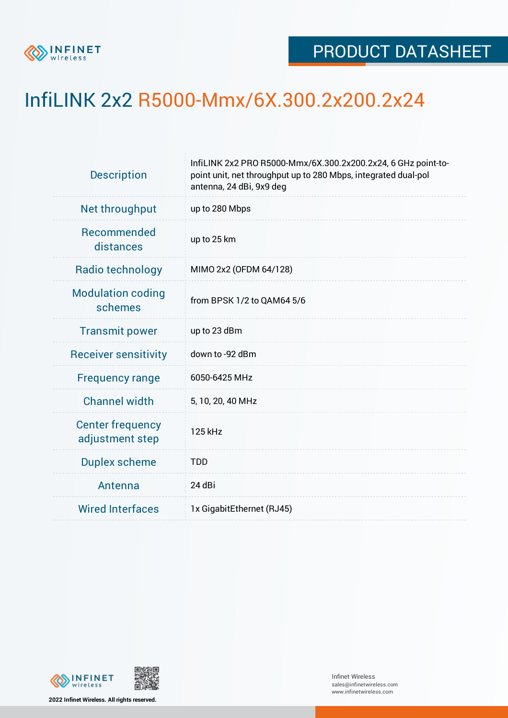

## InfiLINK 2x2 R5000-Mmx/6X.300.2x200.2x24

| <b>Description</b>                         | InfiLINK 2x2 PRO R5000-Mmx/6X.300.2x200.2x24, 6 GHz point-to-<br>point unit, net throughput up to 280 Mbps, integrated dual-pol<br>antenna, 24 dBi, 9x9 deg |  |  |  |  |
|--------------------------------------------|-------------------------------------------------------------------------------------------------------------------------------------------------------------|--|--|--|--|
| Net throughput                             | up to 280 Mbps                                                                                                                                              |  |  |  |  |
| Recommended<br>distances                   | up to 25 km                                                                                                                                                 |  |  |  |  |
| Radio technology                           | MIMO 2x2 (OFDM 64/128)                                                                                                                                      |  |  |  |  |
| <b>Modulation coding</b><br>schemes        | from BPSK 1/2 to QAM64 5/6                                                                                                                                  |  |  |  |  |
| <b>Transmit power</b>                      | up to 23 dBm                                                                                                                                                |  |  |  |  |
| <b>Receiver sensitivity</b>                | down to -92 dBm                                                                                                                                             |  |  |  |  |
| <b>Frequency range</b>                     | 6050-6425 MHz                                                                                                                                               |  |  |  |  |
| <b>Channel width</b>                       | 5, 10, 20, 40 MHz                                                                                                                                           |  |  |  |  |
| <b>Center frequency</b><br>adjustment step | 125 kHz                                                                                                                                                     |  |  |  |  |
| <b>Duplex scheme</b>                       | <b>TDD</b>                                                                                                                                                  |  |  |  |  |
| Antenna                                    | 24 dBi                                                                                                                                                      |  |  |  |  |
| <b>Wired Interfaces</b>                    | 1x GigabitEthernet (RJ45)                                                                                                                                   |  |  |  |  |



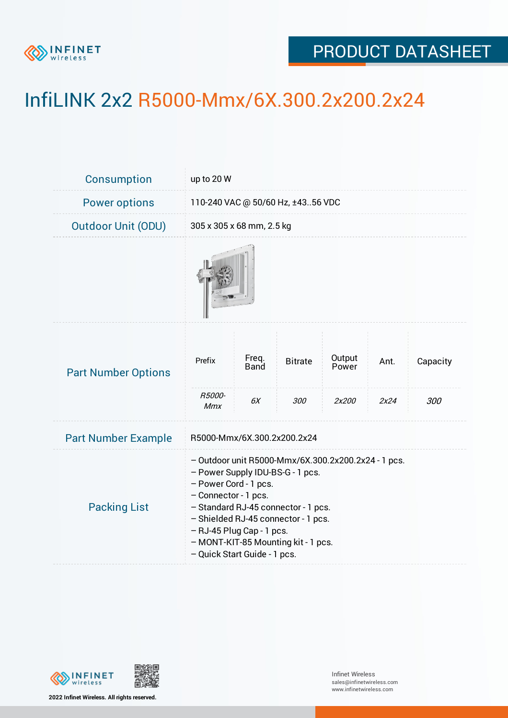

## PRODUCT DATASHEET

## InfiLINK 2x2 R5000-Mmx/6X.300.2x200.2x24

| Consumption                | up to 20 W                                                                                                                                                                                                                                                                                                                 |                            |                       |                          |              |                 |  |  |
|----------------------------|----------------------------------------------------------------------------------------------------------------------------------------------------------------------------------------------------------------------------------------------------------------------------------------------------------------------------|----------------------------|-----------------------|--------------------------|--------------|-----------------|--|--|
| <b>Power options</b>       | 110-240 VAC @ 50/60 Hz, ±4356 VDC                                                                                                                                                                                                                                                                                          |                            |                       |                          |              |                 |  |  |
| <b>Outdoor Unit (ODU)</b>  | 305 x 305 x 68 mm, 2.5 kg                                                                                                                                                                                                                                                                                                  |                            |                       |                          |              |                 |  |  |
|                            |                                                                                                                                                                                                                                                                                                                            |                            |                       |                          |              |                 |  |  |
| <b>Part Number Options</b> | Prefix<br>R5000-<br>Mmx                                                                                                                                                                                                                                                                                                    | Freq.<br><b>Band</b><br>6X | <b>Bitrate</b><br>300 | Output<br>Power<br>2x200 | Ant.<br>2x24 | Capacity<br>300 |  |  |
| <b>Part Number Example</b> | R5000-Mmx/6X.300.2x200.2x24                                                                                                                                                                                                                                                                                                |                            |                       |                          |              |                 |  |  |
| <b>Packing List</b>        | - Outdoor unit R5000-Mmx/6X.300.2x200.2x24 - 1 pcs.<br>- Power Supply IDU-BS-G - 1 pcs.<br>- Power Cord - 1 pcs.<br>- Connector - 1 pcs.<br>- Standard RJ-45 connector - 1 pcs.<br>- Shielded RJ-45 connector - 1 pcs.<br>- RJ-45 Plug Cap - 1 pcs.<br>- MONT-KIT-85 Mounting kit - 1 pcs.<br>- Quick Start Guide - 1 pcs. |                            |                       |                          |              |                 |  |  |



**2022 Infinet Wireless. All rights reserved.**

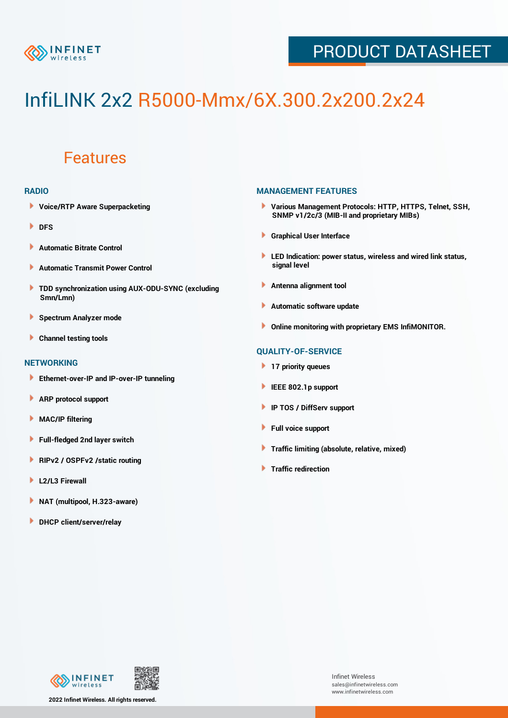

## PRODUCT DATASHEET

# InfiLINK 2x2 R5000-Mmx/6X.300.2x200.2x24

### Features

#### **RADIO**

- **Voice/RTP Aware Superpacketing**
- **DFS**
- **Automatic Bitrate Control** Þ
- Þ **Automatic Transmit Power Control**
- ь **TDD synchronization using AUX-ODU-SYNC (excluding Smn/Lmn)**
- **Spectrum Analyzer mode** ۰
- **Channel testing tools** ١

#### **NETWORKING**

- **Ethernet-over-IP and IP-over-IP tunneling**
- **ARP protocol support** ٠
- ۱ **MAC/IP filtering**
- Þ **Full-fledged 2nd layer switch**
- Þ **RIPv2 / OSPFv2 /static routing**
- **L2/L3 Firewall** Þ
- **NAT (multipool, H.323-aware)** Þ
- Þ **DHCP client/server/relay**

#### **MANAGEMENT FEATURES**

- **Various Management Protocols: HTTP, HTTPS, Telnet, SSH, SNMP v1/2c/3 (MIB-II and proprietary MIBs)**
- **Graphical User Interface**
- **LED Indication: power status, wireless and wired link status, signal level**
- **Antenna alignment tool**
- ٠ **Automatic software update**
- **Online monitoring with proprietary EMS InfiMONITOR.**

#### **QUALITY-OF-SERVICE**

- **17 priority queues**
- **IEEE 802.1p support**
- **IP TOS / DiffServ support**
- ٠ **Full voice support**
- **Traffic limiting (absolute, relative, mixed)** ٠
- **Traffic redirection**